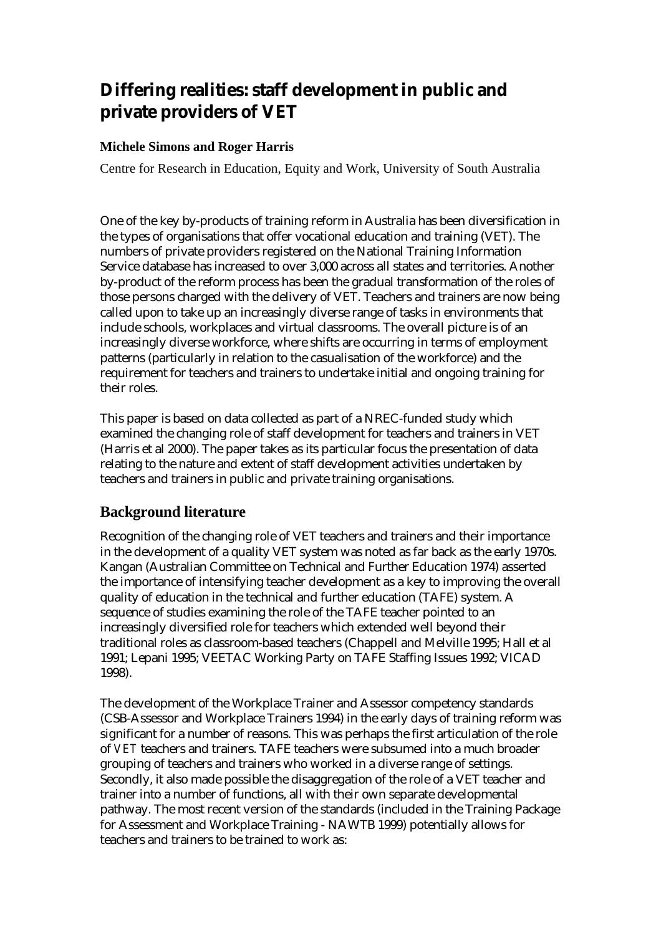# **Differing realities: staff development in public and private providers of VET**

### **Michele Simons and Roger Harris**

Centre for Research in Education, Equity and Work, University of South Australia

One of the key by-products of training reform in Australia has been diversification in the types of organisations that offer vocational education and training (VET). The numbers of private providers registered on the National Training Information Service database has increased to over 3,000 across all states and territories. Another by-product of the reform process has been the gradual transformation of the roles of those persons charged with the delivery of VET. Teachers and trainers are now being called upon to take up an increasingly diverse range of tasks in environments that include schools, workplaces and virtual classrooms. The overall picture is of an increasingly diverse workforce, where shifts are occurring in terms of employment patterns (particularly in relation to the casualisation of the workforce) and the requirement for teachers and trainers to undertake initial and ongoing training for their roles.

This paper is based on data collected as part of a NREC-funded study which examined the changing role of staff development for teachers and trainers in VET (Harris et al 2000). The paper takes as its particular focus the presentation of data relating to the nature and extent of staff development activities undertaken by teachers and trainers in public and private training organisations.

### **Background literature**

Recognition of the changing role of VET teachers and trainers and their importance in the development of a quality VET system was noted as far back as the early 1970s. Kangan (Australian Committee on Technical and Further Education 1974) asserted the importance of intensifying teacher development as a key to improving the overall quality of education in the technical and further education (TAFE) system. A sequence of studies examining the role of the TAFE teacher pointed to an increasingly diversified role for teachers which extended well beyond their traditional roles as classroom-based teachers (Chappell and Melville 1995; Hall et al 1991; Lepani 1995; VEETAC Working Party on TAFE Staffing Issues 1992; VICAD 1998).

The development of the Workplace Trainer and Assessor competency standards (CSB-Assessor and Workplace Trainers 1994) in the early days of training reform was significant for a number of reasons. This was perhaps the first articulation of the role of *VET* teachers and trainers. TAFE teachers were subsumed into a much broader grouping of teachers and trainers who worked in a diverse range of settings. Secondly, it also made possible the disaggregation of the role of a VET teacher and trainer into a number of functions, all with their own separate developmental pathway. The most recent version of the standards (included in the Training Package for Assessment and Workplace Training - NAWTB 1999) potentially allows for teachers and trainers to be trained to work as: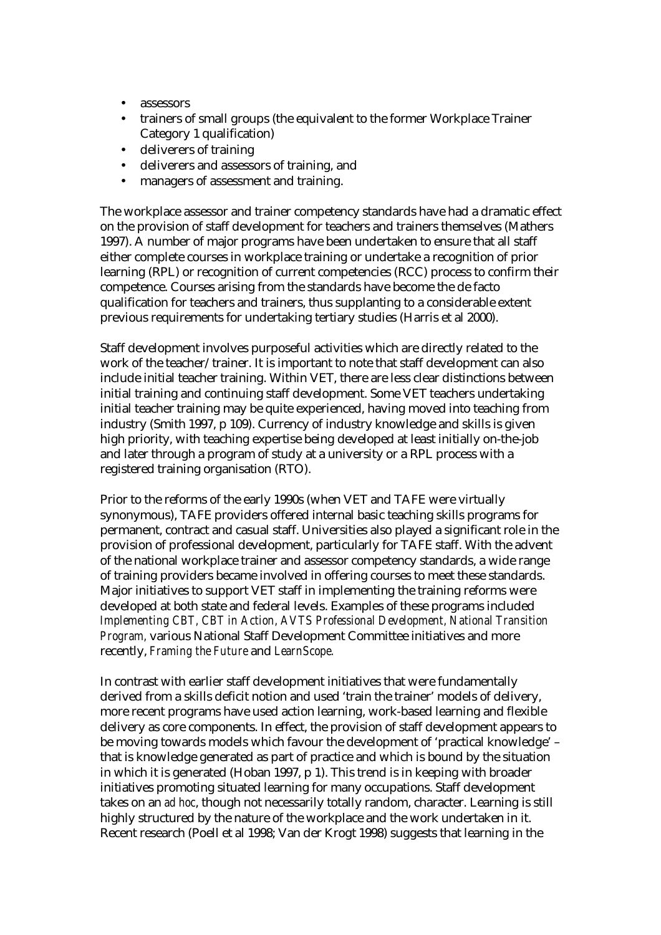- assessors
- trainers of small groups (the equivalent to the former Workplace Trainer Category 1 qualification)
- deliverers of training
- deliverers and assessors of training, and
- managers of assessment and training.

The workplace assessor and trainer competency standards have had a dramatic effect on the provision of staff development for teachers and trainers themselves (Mathers 1997). A number of major programs have been undertaken to ensure that all staff either complete courses in workplace training or undertake a recognition of prior learning (RPL) or recognition of current competencies (RCC) process to confirm their competence. Courses arising from the standards have become the de facto qualification for teachers and trainers, thus supplanting to a considerable extent previous requirements for undertaking tertiary studies (Harris et al 2000).

Staff development involves purposeful activities which are directly related to the work of the teacher/trainer. It is important to note that staff development can also include initial teacher training. Within VET, there are less clear distinctions between initial training and continuing staff development. Some VET teachers undertaking initial teacher training may be quite experienced, having moved into teaching from industry (Smith 1997, p 109). Currency of industry knowledge and skills is given high priority, with teaching expertise being developed at least initially on-the-job and later through a program of study at a university or a RPL process with a registered training organisation (RTO).

Prior to the reforms of the early 1990s (when VET and TAFE were virtually synonymous), TAFE providers offered internal basic teaching skills programs for permanent, contract and casual staff. Universities also played a significant role in the provision of professional development, particularly for TAFE staff. With the advent of the national workplace trainer and assessor competency standards, a wide range of training providers became involved in offering courses to meet these standards. Major initiatives to support VET staff in implementing the training reforms were developed at both state and federal levels. Examples of these programs included *Implementing CBT, CBT in Action, AVTS Professional Development, National Transition Program,* various National Staff Development Committee initiatives and more recently, *Framing the Future* and *LearnScope.* 

In contrast with earlier staff development initiatives that were fundamentally derived from a skills deficit notion and used 'train the trainer' models of delivery, more recent programs have used action learning, work-based learning and flexible delivery as core components. In effect, the provision of staff development appears to be moving towards models which favour the development of 'practical knowledge' – that is knowledge generated as part of practice and which is bound by the situation in which it is generated (Hoban 1997, p 1). This trend is in keeping with broader initiatives promoting situated learning for many occupations. Staff development takes on an *ad hoc*, though not necessarily totally random, character. Learning is still highly structured by the nature of the workplace and the work undertaken in it. Recent research (Poell et al 1998; Van der Krogt 1998) suggests that learning in the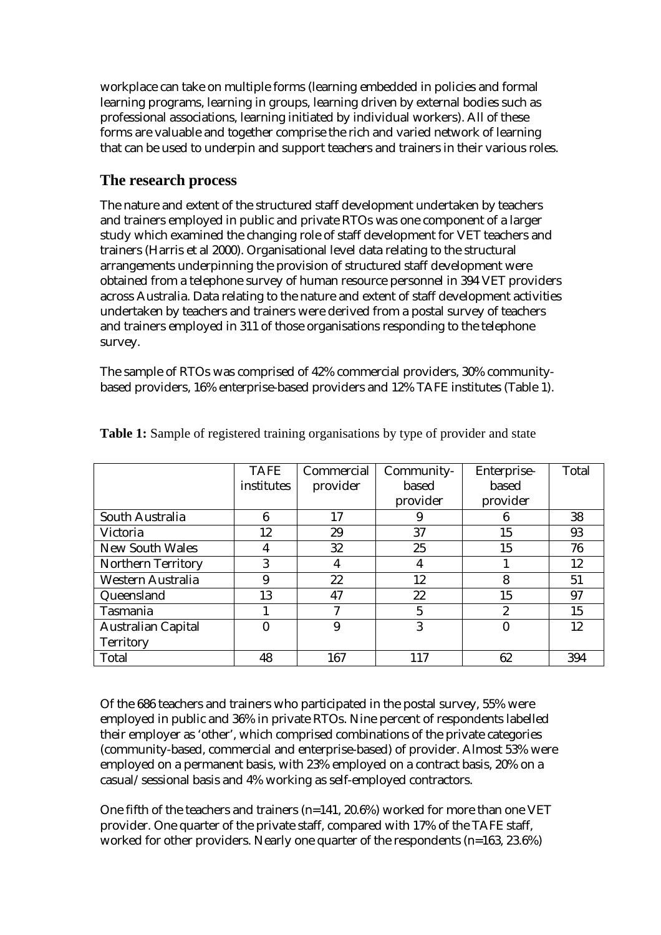workplace can take on multiple forms (learning embedded in policies and formal learning programs, learning in groups, learning driven by external bodies such as professional associations, learning initiated by individual workers). All of these forms are valuable and together comprise the rich and varied network of learning that can be used to underpin and support teachers and trainers in their various roles.

## **The research process**

The nature and extent of the structured staff development undertaken by teachers and trainers employed in public and private RTOs was one component of a larger study which examined the changing role of staff development for VET teachers and trainers (Harris et al 2000). Organisational level data relating to the structural arrangements underpinning the provision of structured staff development were obtained from a telephone survey of human resource personnel in 394 VET providers across Australia. Data relating to the nature and extent of staff development activities undertaken by teachers and trainers were derived from a postal survey of teachers and trainers employed in 311 of those organisations responding to the telephone survey.

The sample of RTOs was comprised of 42% commercial providers, 30% communitybased providers, 16% enterprise-based providers and 12% TAFE institutes (Table 1).

|                           | <b>TAFE</b> | Commercial | Community-     | Enterprise-      | Total |
|---------------------------|-------------|------------|----------------|------------------|-------|
|                           | institutes  | provider   | based          | based            |       |
|                           |             |            | provider       | provider         |       |
| South Australia           | 6           | 17         |                | 6                | 38    |
| Victoria                  | 12          | 29         | 37             | 15               | 93    |
| <b>New South Wales</b>    | 4           | 32         | 25             | 15               | 76    |
| <b>Northern Territory</b> | 3           | 4          | 4              |                  | 12    |
| Western Australia         | 9           | 22         | 12             | 8                | 51    |
| Queensland                | 13          | 47         | 22             | 15               | 97    |
| Tasmania                  |             | 7          | $\overline{5}$ | 2                | 15    |
| <b>Australian Capital</b> |             | 9          | 3              | $\boldsymbol{0}$ | 12    |
| <b>Territory</b>          |             |            |                |                  |       |
| Total                     | 48          | 167        | 117            | 62               | 394   |

**Table 1:** Sample of registered training organisations by type of provider and state

Of the 686 teachers and trainers who participated in the postal survey, 55% were employed in public and 36% in private RTOs. Nine percent of respondents labelled their employer as 'other', which comprised combinations of the private categories (community-based, commercial and enterprise-based) of provider. Almost 53% were employed on a permanent basis, with 23% employed on a contract basis, 20% on a casual/sessional basis and 4% working as self-employed contractors.

One fifth of the teachers and trainers (n=141, 20.6%) worked for more than one VET provider. One quarter of the private staff, compared with 17% of the TAFE staff, worked for other providers. Nearly one quarter of the respondents (n=163, 23.6%)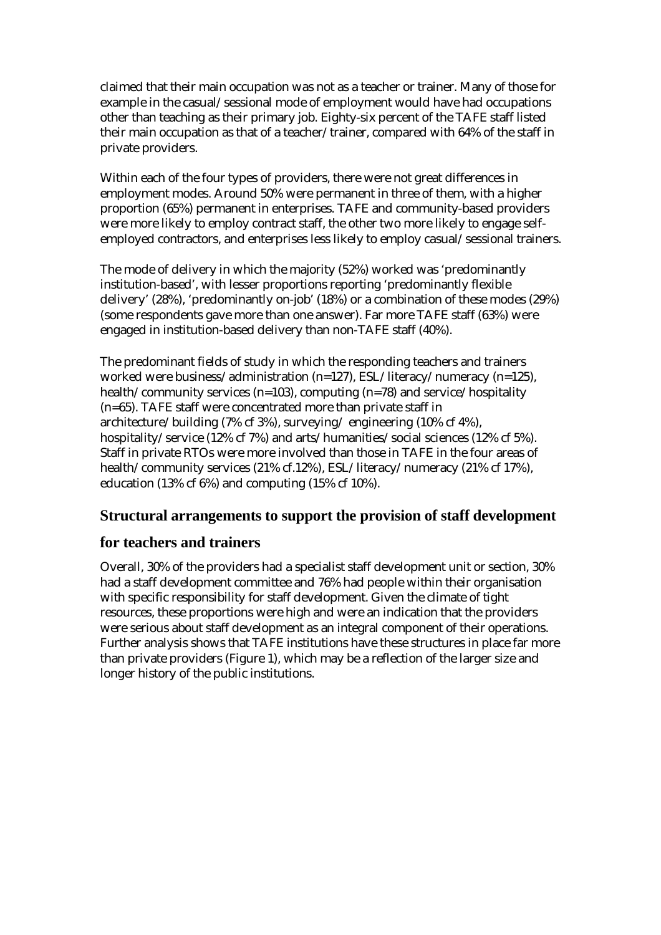claimed that their main occupation was not as a teacher or trainer. Many of those for example in the casual/sessional mode of employment would have had occupations other than teaching as their primary job. Eighty-six percent of the TAFE staff listed their main occupation as that of a teacher/trainer, compared with 64% of the staff in private providers.

Within each of the four types of providers, there were not great differences in employment modes. Around 50% were permanent in three of them, with a higher proportion (65%) permanent in enterprises. TAFE and community-based providers were more likely to employ contract staff, the other two more likely to engage selfemployed contractors, and enterprises less likely to employ casual/sessional trainers.

The mode of delivery in which the majority (52%) worked was 'predominantly institution-based', with lesser proportions reporting 'predominantly flexible delivery' (28%), 'predominantly on-job' (18%) or a combination of these modes (29%) (some respondents gave more than one answer). Far more TAFE staff (63%) were engaged in institution-based delivery than non-TAFE staff (40%).

The predominant fields of study in which the responding teachers and trainers worked were business/administration (n=127), ESL/literacy/numeracy (n=125), health/community services (n=103), computing (n=78) and service/hospitality (n=65). TAFE staff were concentrated more than private staff in architecture/building (7% cf 3%), surveying/ engineering (10% cf 4%), hospitality/service (12% cf 7%) and arts/humanities/social sciences (12% cf 5%). Staff in private RTOs were more involved than those in TAFE in the four areas of health/community services (21% cf.12%), ESL/literacy/numeracy (21% cf 17%), education (13% cf 6%) and computing (15% cf 10%).

# **Structural arrangements to support the provision of staff development**

### **for teachers and trainers**

Overall, 30% of the providers had a specialist staff development unit or section, 30% had a staff development committee and 76% had people within their organisation with specific responsibility for staff development. Given the climate of tight resources, these proportions were high and were an indication that the providers were serious about staff development as an integral component of their operations. Further analysis shows that TAFE institutions have these structures in place far more than private providers (Figure 1), which may be a reflection of the larger size and longer history of the public institutions.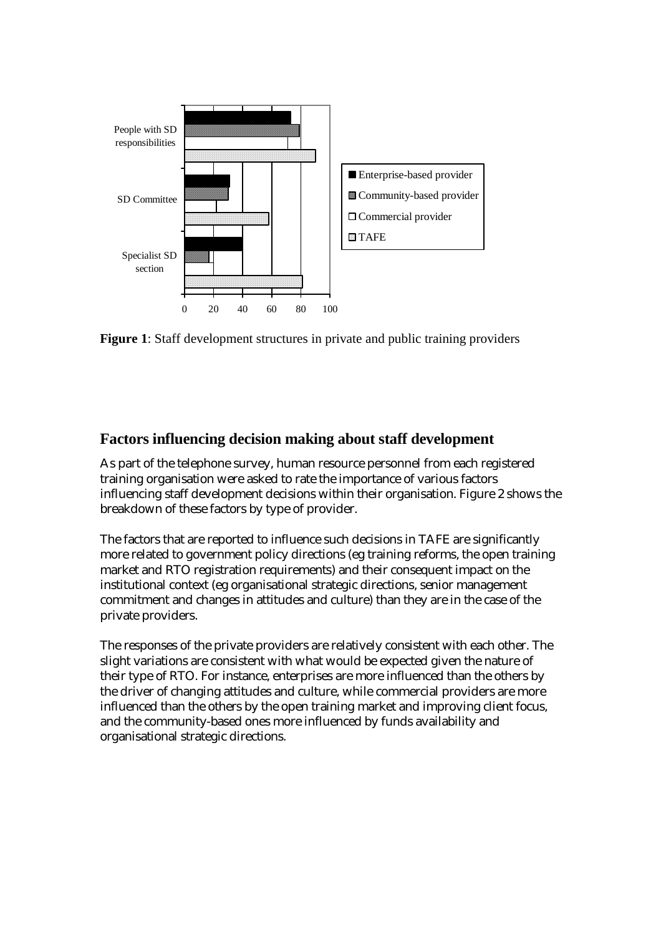

**Figure 1**: Staff development structures in private and public training providers

## **Factors influencing decision making about staff development**

As part of the telephone survey, human resource personnel from each registered training organisation were asked to rate the importance of various factors influencing staff development decisions within their organisation. Figure 2 shows the breakdown of these factors by type of provider.

The factors that are reported to influence such decisions in TAFE are significantly more related to government policy directions (eg training reforms, the open training market and RTO registration requirements) and their consequent impact on the institutional context (eg organisational strategic directions, senior management commitment and changes in attitudes and culture) than they are in the case of the private providers.

The responses of the private providers are relatively consistent with each other. The slight variations are consistent with what would be expected given the nature of their type of RTO. For instance, enterprises are more influenced than the others by the driver of changing attitudes and culture, while commercial providers are more influenced than the others by the open training market and improving client focus, and the community-based ones more influenced by funds availability and organisational strategic directions.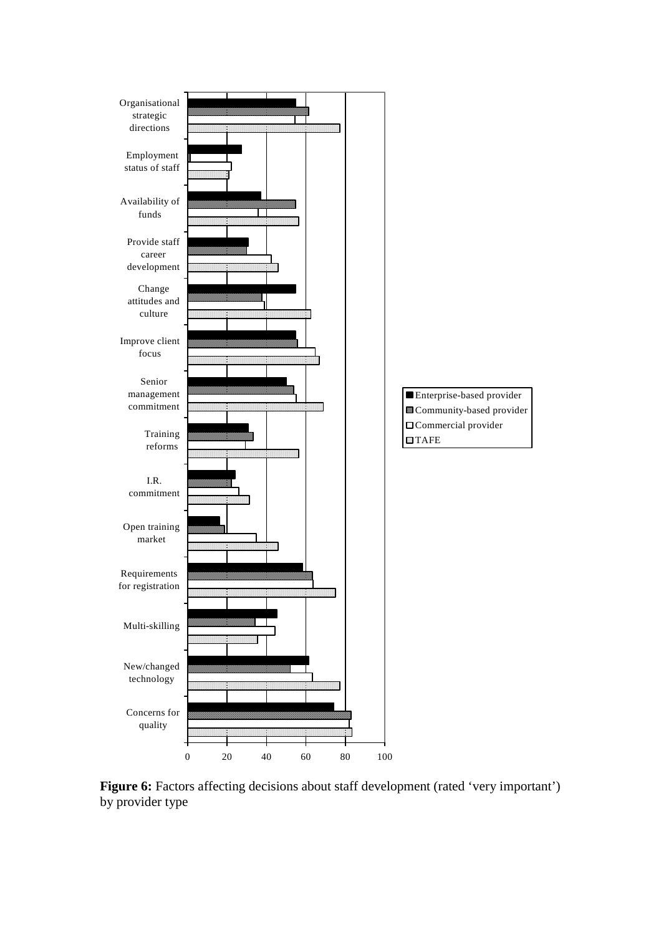

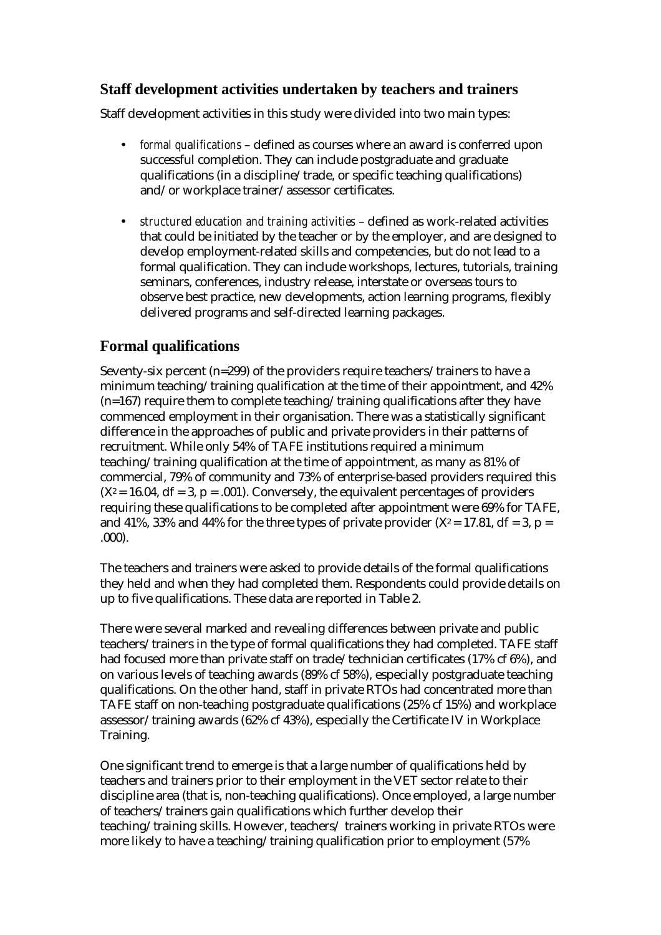# **Staff development activities undertaken by teachers and trainers**

Staff development activities in this study were divided into two main types:

- *formal qualifications* defined as courses where an award is conferred upon successful completion. They can include postgraduate and graduate qualifications (in a discipline/trade, or specific teaching qualifications) and/or workplace trainer/assessor certificates.
- *structured education and training activities* defined as work-related activities that could be initiated by the teacher or by the employer, and are designed to develop employment-related skills and competencies, but do not lead to a formal qualification. They can include workshops, lectures, tutorials, training seminars, conferences, industry release, interstate or overseas tours to observe best practice, new developments, action learning programs, flexibly delivered programs and self-directed learning packages.

# **Formal qualifications**

Seventy-six percent  $(n=299)$  of the providers require teachers/trainers to have a minimum teaching/training qualification at the time of their appointment, and 42%  $(n=167)$  require them to complete teaching/training qualifications after they have commenced employment in their organisation. There was a statistically significant difference in the approaches of public and private providers in their patterns of recruitment. While only 54% of TAFE institutions required a minimum teaching/training qualification at the time of appointment, as many as 81% of commercial, 79% of community and 73% of enterprise-based providers required this  $(X^2 = 16.04, df = 3, p = .001)$ . Conversely, the equivalent percentages of providers requiring these qualifications to be completed after appointment were 69% for TAFE, and 41%, 33% and 44% for the three types of private provider  $(X^2 = 17.81, df = 3, p =$ .000).

The teachers and trainers were asked to provide details of the formal qualifications they held and when they had completed them. Respondents could provide details on up to five qualifications. These data are reported in Table 2.

There were several marked and revealing differences between private and public teachers/trainers in the type of formal qualifications they had completed. TAFE staff had focused more than private staff on trade/technician certificates (17% cf 6%), and on various levels of teaching awards (89% cf 58%), especially postgraduate teaching qualifications. On the other hand, staff in private RTOs had concentrated more than TAFE staff on non-teaching postgraduate qualifications (25% cf 15%) and workplace assessor/training awards (62% cf 43%), especially the Certificate IV in Workplace Training.

One significant trend to emerge is that a large number of qualifications held by teachers and trainers prior to their employment in the VET sector relate to their discipline area (that is, non-teaching qualifications). Once employed, a large number of teachers/trainers gain qualifications which further develop their teaching/training skills. However, teachers/ trainers working in private RTOs were more likely to have a teaching/training qualification prior to employment (57%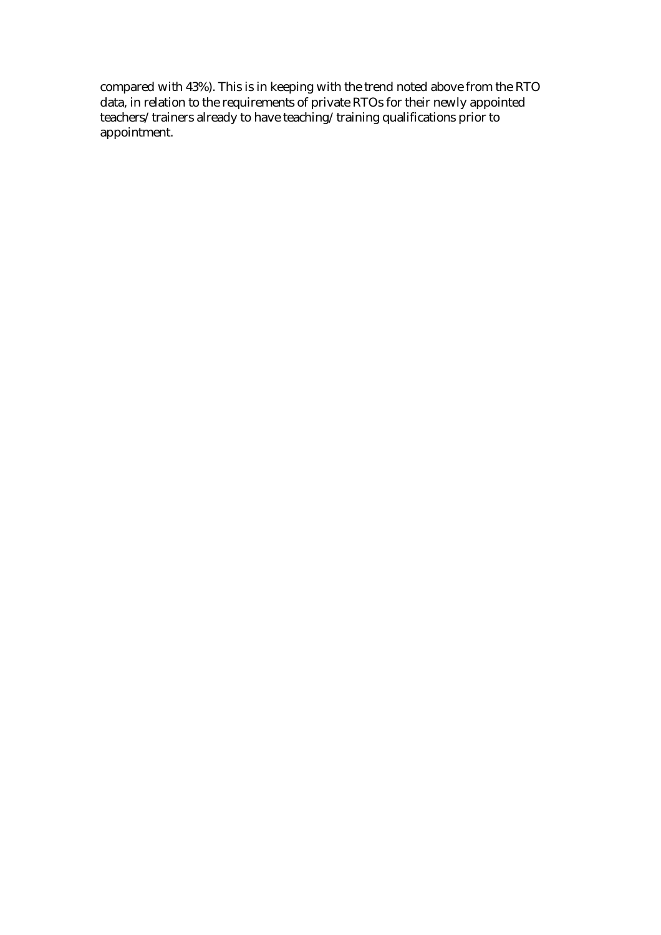compared with 43%). This is in keeping with the trend noted above from the RTO data, in relation to the requirements of private RTOs for their newly appointed teachers/trainers already to have teaching/training qualifications prior to appointment.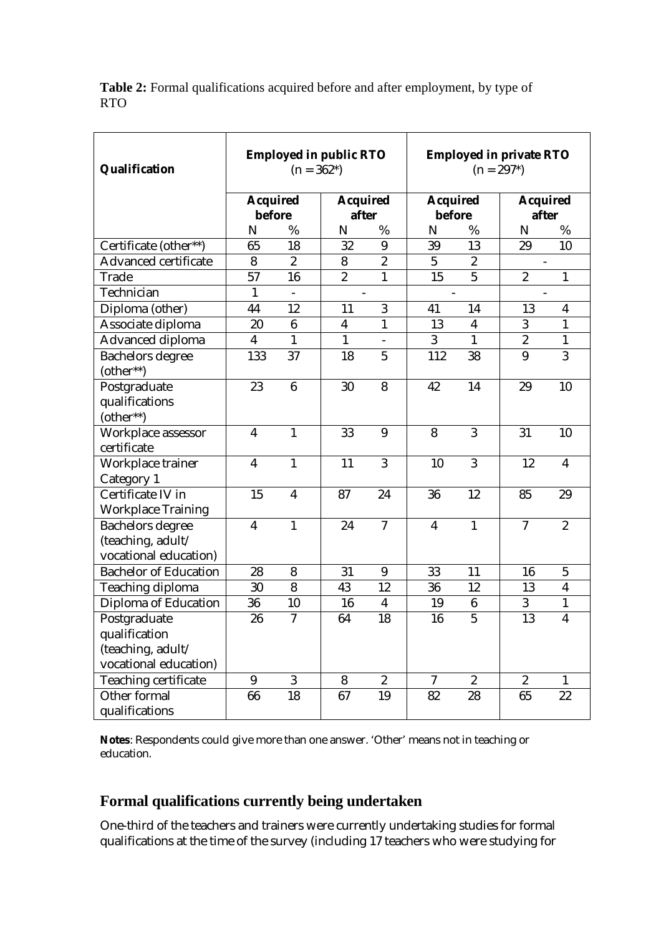**Table 2:** Formal qualifications acquired before and after employment, by type of RTO

| Qualification                | <b>Employed in public RTO</b><br>$(n = 362*)$ |                          |                          | <b>Employed in private RTO</b><br>$(n = 297*)$ |                          |                  |                  |                         |
|------------------------------|-----------------------------------------------|--------------------------|--------------------------|------------------------------------------------|--------------------------|------------------|------------------|-------------------------|
|                              | <b>Acquired</b>                               |                          | <b>Acquired</b>          |                                                | <b>Acquired</b>          |                  | <b>Acquired</b>  |                         |
|                              | <b>before</b>                                 |                          | after                    |                                                | before                   |                  | after            |                         |
|                              | N                                             | %                        | N                        | %                                              | N                        | %                | N                | %                       |
| Certificate (other**)        | 65                                            | 18                       | 32                       | 9                                              | 39                       | 13               | 29               | 10                      |
| Advanced certificate         | 8                                             | $\boldsymbol{2}$         | 8                        | $\boldsymbol{2}$                               | $\overline{5}$           | $\boldsymbol{2}$ |                  |                         |
| Trade                        | 57                                            | 16                       | $\overline{2}$           | $\mathbf{1}$                                   | 15                       | $\overline{5}$   | $\overline{2}$   | $\mathbf{1}$            |
| Technician                   | $\mathbf{1}$                                  | $\overline{\phantom{0}}$ | $\overline{\phantom{a}}$ |                                                | $\overline{\phantom{a}}$ |                  |                  |                         |
| Diploma (other)              | 44                                            | 12                       | 11                       | 3                                              | 41                       | 14               | 13               | $\overline{\mathbf{4}}$ |
| Associate diploma            | 20                                            | $6\phantom{1}$           | $\overline{\mathbf{4}}$  | $\mathbf{1}$                                   | 13                       | 4                | 3                | $\mathbf{1}$            |
| Advanced diploma             | $\boldsymbol{4}$                              | $\mathbf{1}$             | $\mathbf{1}$             |                                                | 3                        | $\mathbf{1}$     | $\boldsymbol{2}$ | $\mathbf{1}$            |
| <b>Bachelors degree</b>      | 133                                           | 37                       | 18                       | $\overline{5}$                                 | 112                      | 38               | 9                | 3                       |
| (other**)                    |                                               |                          |                          |                                                |                          |                  |                  |                         |
| Postgraduate                 | 23                                            | $6\phantom{1}$           | 30                       | 8                                              | 42                       | 14               | 29               | 10                      |
| qualifications               |                                               |                          |                          |                                                |                          |                  |                  |                         |
| (other**)                    |                                               |                          |                          |                                                |                          |                  |                  |                         |
| Workplace assessor           | $\overline{\mathbf{4}}$                       | $\mathbf{1}$             | 33                       | 9                                              | 8                        | 3                | 31               | 10                      |
| certificate                  |                                               |                          |                          |                                                |                          |                  |                  |                         |
| Workplace trainer            | $\overline{\mathbf{4}}$                       | $\mathbf{1}$             | 11                       | 3                                              | 10                       | 3                | 12               | $\overline{\mathbf{4}}$ |
| Category 1                   |                                               |                          |                          |                                                |                          |                  |                  |                         |
| Certificate IV in            | 15                                            | $\boldsymbol{4}$         | 87                       | 24                                             | 36                       | 12               | 85               | 29                      |
| <b>Workplace Training</b>    |                                               |                          |                          |                                                |                          |                  |                  |                         |
| <b>Bachelors degree</b>      | $\overline{\mathbf{4}}$                       | $\mathbf{1}$             | 24                       | $\overline{7}$                                 | $\overline{\mathbf{4}}$  | $\mathbf{1}$     | $\tau$           | $\overline{2}$          |
| (teaching, adult/            |                                               |                          |                          |                                                |                          |                  |                  |                         |
| vocational education)        |                                               |                          |                          |                                                |                          |                  |                  |                         |
| <b>Bachelor of Education</b> | 28                                            | 8                        | 31                       | 9                                              | 33                       | 11               | 16               | $\overline{5}$          |
| Teaching diploma             | 30                                            | 8                        | 43                       | 12                                             | 36                       | 12               | 13               | $\overline{\mathbf{4}}$ |
| Diploma of Education         | 36                                            | 10                       | 16                       | $\overline{\mathbf{4}}$                        | 19                       | $6\phantom{1}6$  | 3                | 1                       |
| Postgraduate                 | 26                                            | $\tau$                   | 64                       | 18                                             | 16                       | $\overline{5}$   | 13               | $\boldsymbol{4}$        |
| qualification                |                                               |                          |                          |                                                |                          |                  |                  |                         |
| (teaching, adult/            |                                               |                          |                          |                                                |                          |                  |                  |                         |
| vocational education)        |                                               |                          |                          |                                                |                          |                  |                  |                         |
| Teaching certificate         | 9                                             | 3                        | 8                        | $\boldsymbol{2}$                               | $\overline{7}$           | $\overline{2}$   | $\overline{2}$   | $\mathbf{1}$            |
| Other formal                 | 66                                            | 18                       | 67                       | 19                                             | 82                       | 28               | 65               | 22                      |
| qualifications               |                                               |                          |                          |                                                |                          |                  |                  |                         |

**Notes**: Respondents could give more than one answer. 'Other' means not in teaching or education.

# **Formal qualifications currently being undertaken**

One-third of the teachers and trainers were currently undertaking studies for formal qualifications at the time of the survey (including 17 teachers who were studying for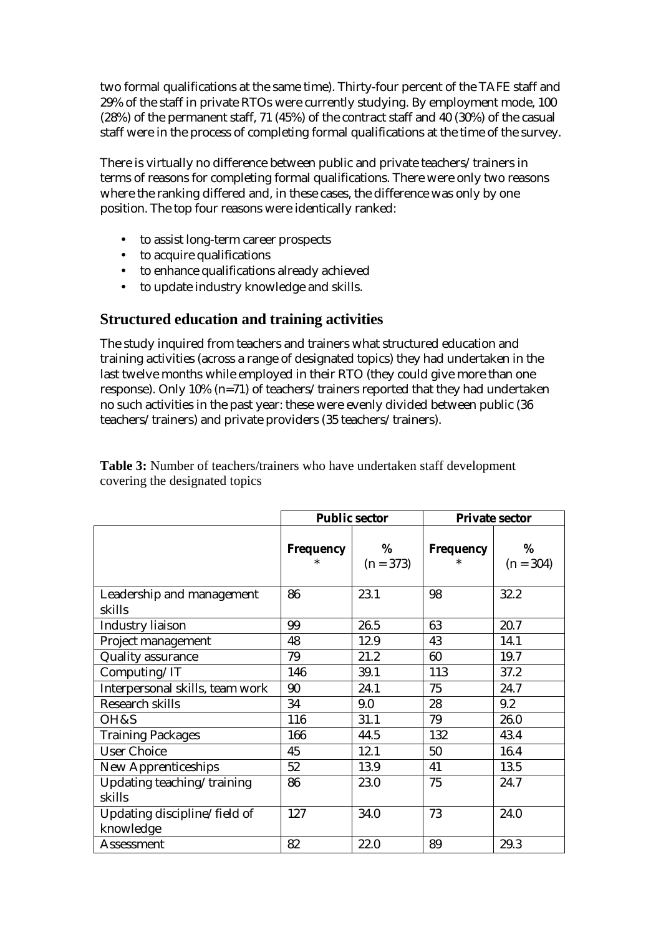two formal qualifications at the same time). Thirty-four percent of the TAFE staff and 29% of the staff in private RTOs were currently studying. By employment mode, 100 (28%) of the permanent staff, 71 (45%) of the contract staff and 40 (30%) of the casual staff were in the process of completing formal qualifications at the time of the survey.

There is virtually no difference between public and private teachers/trainers in terms of reasons for completing formal qualifications. There were only two reasons where the ranking differed and, in these cases, the difference was only by one position. The top four reasons were identically ranked:

- to assist long-term career prospects
- to acquire qualifications
- to enhance qualifications already achieved
- to update industry knowledge and skills.

## **Structured education and training activities**

The study inquired from teachers and trainers what structured education and training activities (across a range of designated topics) they had undertaken in the last twelve months while employed in their RTO (they could give more than one response). Only 10% (n=71) of teachers/trainers reported that they had undertaken no such activities in the past year: these were evenly divided between public (36 teachers/trainers) and private providers (35 teachers/trainers).

|                                           | <b>Public sector</b> |                  | <b>Private sector</b> |                  |  |
|-------------------------------------------|----------------------|------------------|-----------------------|------------------|--|
|                                           | Frequency            | %<br>$(n = 373)$ | Frequency             | %<br>$(n = 304)$ |  |
| Leadership and management<br>skills       | 86                   | 23.1             | 98                    | 32.2             |  |
| <b>Industry liaison</b>                   | 99                   | 26.5             | 63                    | 20.7             |  |
| Project management                        | 48                   | 12.9             | 43                    | 14.1             |  |
| <b>Quality assurance</b>                  | 79                   | 21.2             | 60                    | 19.7             |  |
| Computing/IT                              | 146                  | 39.1             | 113                   | 37.2             |  |
| Interpersonal skills, team work           | 90                   | 24.1             | 75                    | 24.7             |  |
| <b>Research skills</b>                    | 34                   | 9.0              | 28                    | 9.2              |  |
| OH&S                                      | 116                  | 31.1             | 79                    | 26.0             |  |
| <b>Training Packages</b>                  | 166                  | 44.5             | 132                   | 43.4             |  |
| <b>User Choice</b>                        | 45                   | 12.1             | 50                    | 16.4             |  |
| <b>New Apprenticeships</b>                | 52                   | 13.9             | 41                    | 13.5             |  |
| Updating teaching/training<br>skills      | 86                   | 23.0             | 75                    | 24.7             |  |
| Updating discipline/field of<br>knowledge | 127                  | 34.0             | 73                    | 24.0             |  |
| Assessment                                | 82                   | 22.0             | 89                    | 29.3             |  |

**Table 3:** Number of teachers/trainers who have undertaken staff development covering the designated topics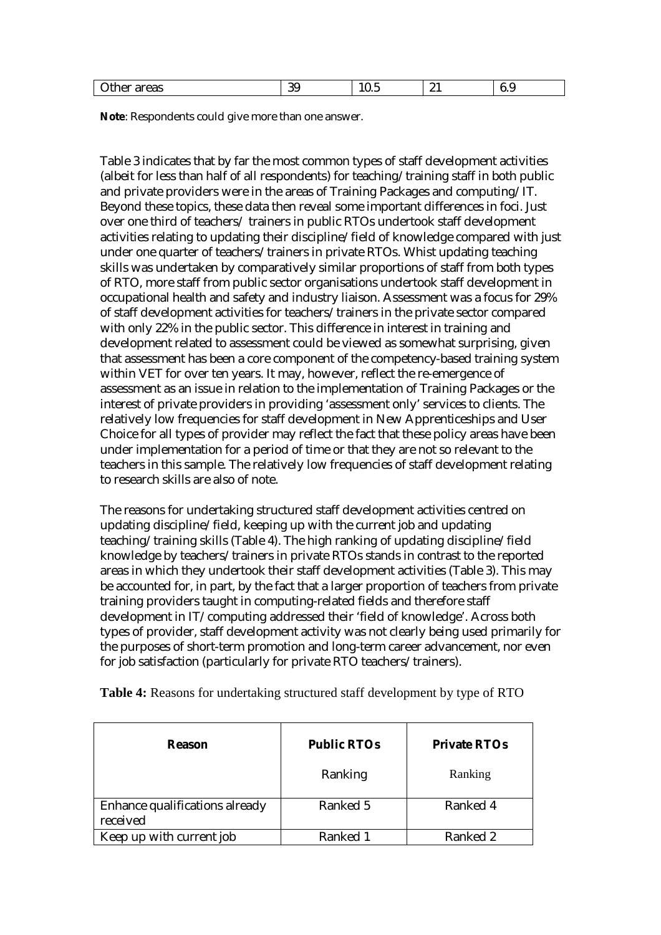|  | $\sim$<br>ົ<br>₩h.<br>ıreas<br>$\sim$ $\sim$<br>. .<br>π⊷<br>u.<br>uw<br>. . | -<br>10.U | ~ - | v.v |  |
|--|------------------------------------------------------------------------------|-----------|-----|-----|--|
|--|------------------------------------------------------------------------------|-----------|-----|-----|--|

**Note**: Respondents could give more than one answer.

Table 3 indicates that by far the most common types of staff development activities (albeit for less than half of all respondents) for teaching/training staff in both public and private providers were in the areas of Training Packages and computing/IT. Beyond these topics, these data then reveal some important differences in foci. Just over one third of teachers/ trainers in public RTOs undertook staff development activities relating to updating their discipline/field of knowledge compared with just under one quarter of teachers/trainers in private RTOs. Whist updating teaching skills was undertaken by comparatively similar proportions of staff from both types of RTO, more staff from public sector organisations undertook staff development in occupational health and safety and industry liaison. Assessment was a focus for 29% of staff development activities for teachers/trainers in the private sector compared with only 22% in the public sector. This difference in interest in training and development related to assessment could be viewed as somewhat surprising, given that assessment has been a core component of the competency-based training system within VET for over ten years. It may, however, reflect the re-emergence of assessment as an issue in relation to the implementation of Training Packages or the interest of private providers in providing 'assessment only' services to clients. The relatively low frequencies for staff development in New Apprenticeships and User Choice for all types of provider may reflect the fact that these policy areas have been under implementation for a period of time or that they are not so relevant to the teachers in this sample. The relatively low frequencies of staff development relating to research skills are also of note.

The reasons for undertaking structured staff development activities centred on updating discipline/field, keeping up with the current job and updating teaching/training skills (Table 4). The high ranking of updating discipline/field knowledge by teachers/trainers in private RTOs stands in contrast to the reported areas in which they undertook their staff development activities (Table 3). This may be accounted for, in part, by the fact that a larger proportion of teachers from private training providers taught in computing-related fields and therefore staff development in IT/computing addressed their 'field of knowledge'. Across both types of provider, staff development activity was not clearly being used primarily for the purposes of short-term promotion and long-term career advancement, nor even for job satisfaction (particularly for private RTO teachers/trainers).

| <b>Reason</b>                              | <b>Public RTOs</b> | <b>Private RTOs</b> |
|--------------------------------------------|--------------------|---------------------|
|                                            | Ranking            | Ranking             |
| Enhance qualifications already<br>received | Ranked 5           | Ranked 4            |
| Keep up with current job                   | Ranked 1           | Ranked 2            |

**Table 4:** Reasons for undertaking structured staff development by type of RTO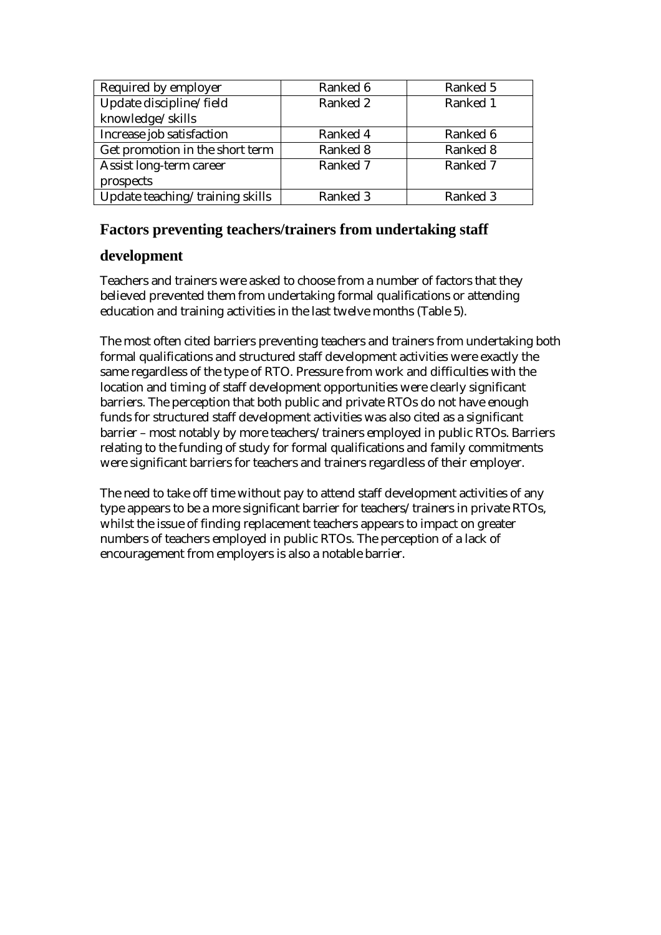| Required by employer            | Ranked 6 | Ranked 5 |
|---------------------------------|----------|----------|
| Update discipline/field         | Ranked 2 | Ranked 1 |
| knowledge/skills                |          |          |
| Increase job satisfaction       | Ranked 4 | Ranked 6 |
| Get promotion in the short term | Ranked 8 | Ranked 8 |
| Assist long-term career         | Ranked 7 | Ranked 7 |
| prospects                       |          |          |
| Update teaching/training skills | Ranked 3 | Ranked 3 |

## **Factors preventing teachers/trainers from undertaking staff**

### **development**

Teachers and trainers were asked to choose from a number of factors that they believed prevented them from undertaking formal qualifications or attending education and training activities in the last twelve months (Table 5).

The most often cited barriers preventing teachers and trainers from undertaking both formal qualifications and structured staff development activities were exactly the same regardless of the type of RTO. Pressure from work and difficulties with the location and timing of staff development opportunities were clearly significant barriers. The perception that both public and private RTOs do not have enough funds for structured staff development activities was also cited as a significant barrier – most notably by more teachers/trainers employed in public RTOs. Barriers relating to the funding of study for formal qualifications and family commitments were significant barriers for teachers and trainers regardless of their employer.

The need to take off time without pay to attend staff development activities of any type appears to be a more significant barrier for teachers/trainers in private RTOs, whilst the issue of finding replacement teachers appears to impact on greater numbers of teachers employed in public RTOs. The perception of a lack of encouragement from employers is also a notable barrier.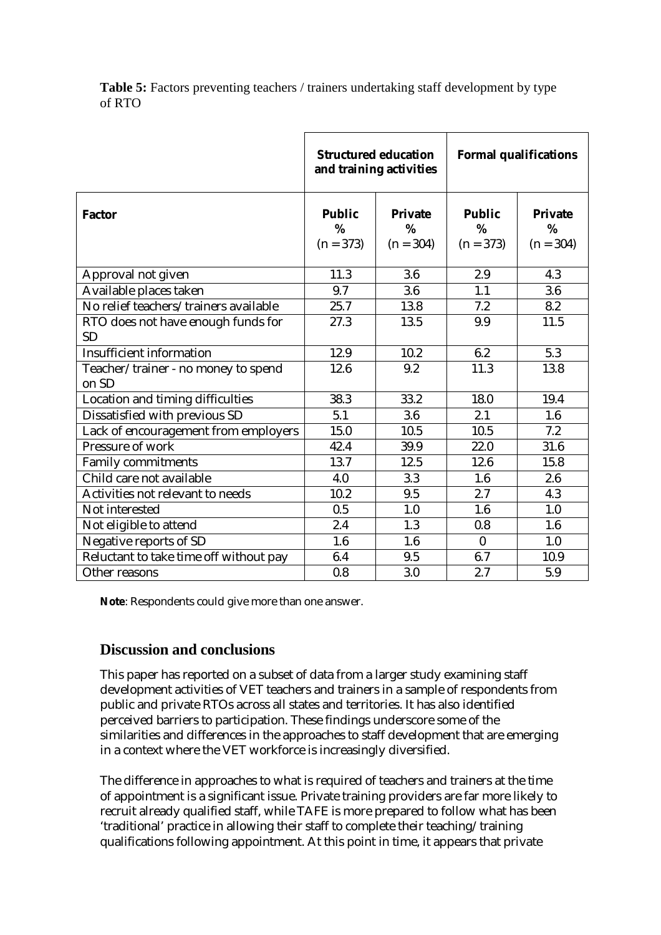**Table 5:** Factors preventing teachers / trainers undertaking staff development by type of RTO

|                                                 |                                   | <b>Structured education</b><br>and training activities | <b>Formal qualifications</b>      |                                    |  |
|-------------------------------------------------|-----------------------------------|--------------------------------------------------------|-----------------------------------|------------------------------------|--|
| <b>Factor</b>                                   | <b>Public</b><br>%<br>$(n = 373)$ | <b>Private</b><br>%<br>$(n = 304)$                     | <b>Public</b><br>%<br>$(n = 373)$ | <b>Private</b><br>%<br>$(n = 304)$ |  |
| Approval not given                              | 11.3                              | $3.6\,$                                                | 2.9                               | 4.3                                |  |
| Available places taken                          | 9.7                               | 3.6                                                    | 1.1                               | 3.6                                |  |
| No relief teachers/trainers available           | 25.7                              | 13.8                                                   | 7.2                               | 8.2                                |  |
| RTO does not have enough funds for<br><b>SD</b> | 27.3                              | 13.5                                                   | 9.9                               | 11.5                               |  |
| <b>Insufficient information</b>                 | 12.9                              | 10.2                                                   | 6.2                               | 5.3                                |  |
| Teacher/trainer - no money to spend<br>on SD    | 12.6                              | 9.2                                                    | 11.3                              | 13.8                               |  |
| Location and timing difficulties                | 38.3                              | 33.2                                                   | 18.0                              | 19.4                               |  |
| Dissatisfied with previous SD                   | 5.1                               | 3.6                                                    | 2.1                               | 1.6                                |  |
| Lack of encouragement from employers            | 15.0                              | 10.5                                                   | 10.5                              | 7.2                                |  |
| Pressure of work                                | 42.4                              | 39.9                                                   | 22.0                              | 31.6                               |  |
| <b>Family commitments</b>                       | 13.7                              | 12.5                                                   | 12.6                              | 15.8                               |  |
| Child care not available                        | 4.0                               | 3.3                                                    | 1.6                               | 2.6                                |  |
| Activities not relevant to needs                | 10.2                              | 9.5                                                    | 2.7                               | 4.3                                |  |
| Not interested                                  | 0.5                               | 1.0                                                    | 1.6                               | 1.0                                |  |
| Not eligible to attend                          | 2.4                               | 1.3                                                    | 0.8                               | 1.6                                |  |
| Negative reports of SD                          | 1.6                               | $1.6\,$                                                | $\bf{0}$                          | 1.0                                |  |
| Reluctant to take time off without pay          | 6.4                               | 9.5                                                    | 6.7                               | 10.9                               |  |
| Other reasons                                   | 0.8                               | 3.0                                                    | 2.7                               | 5.9                                |  |

**Note**: Respondents could give more than one answer.

### **Discussion and conclusions**

This paper has reported on a subset of data from a larger study examining staff development activities of VET teachers and trainers in a sample of respondents from public and private RTOs across all states and territories. It has also identified perceived barriers to participation. These findings underscore some of the similarities and differences in the approaches to staff development that are emerging in a context where the VET workforce is increasingly diversified.

The difference in approaches to what is required of teachers and trainers at the time of appointment is a significant issue. Private training providers are far more likely to recruit already qualified staff, while TAFE is more prepared to follow what has been 'traditional' practice in allowing their staff to complete their teaching/training qualifications following appointment. At this point in time, it appears that private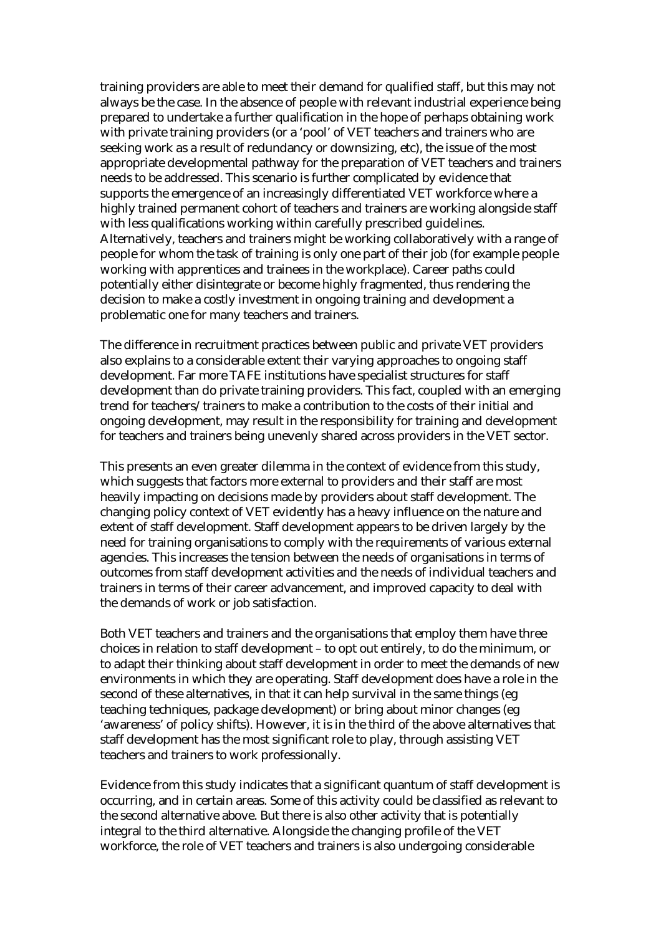training providers are able to meet their demand for qualified staff, but this may not always be the case. In the absence of people with relevant industrial experience being prepared to undertake a further qualification in the hope of perhaps obtaining work with private training providers (or a 'pool' of VET teachers and trainers who are seeking work as a result of redundancy or downsizing, etc), the issue of the most appropriate developmental pathway for the preparation of VET teachers and trainers needs to be addressed. This scenario is further complicated by evidence that supports the emergence of an increasingly differentiated VET workforce where a highly trained permanent cohort of teachers and trainers are working alongside staff with less qualifications working within carefully prescribed guidelines. Alternatively, teachers and trainers might be working collaboratively with a range of people for whom the task of training is only one part of their job (for example people working with apprentices and trainees in the workplace). Career paths could potentially either disintegrate or become highly fragmented, thus rendering the decision to make a costly investment in ongoing training and development a problematic one for many teachers and trainers.

The difference in recruitment practices between public and private VET providers also explains to a considerable extent their varying approaches to ongoing staff development. Far more TAFE institutions have specialist structures for staff development than do private training providers. This fact, coupled with an emerging trend for teachers/trainers to make a contribution to the costs of their initial and ongoing development, may result in the responsibility for training and development for teachers and trainers being unevenly shared across providers in the VET sector.

This presents an even greater dilemma in the context of evidence from this study, which suggests that factors more external to providers and their staff are most heavily impacting on decisions made by providers about staff development. The changing policy context of VET evidently has a heavy influence on the nature and extent of staff development. Staff development appears to be driven largely by the need for training organisations to comply with the requirements of various external agencies. This increases the tension between the needs of organisations in terms of outcomes from staff development activities and the needs of individual teachers and trainers in terms of their career advancement, and improved capacity to deal with the demands of work or job satisfaction.

Both VET teachers and trainers and the organisations that employ them have three choices in relation to staff development – to opt out entirely, to do the minimum, or to adapt their thinking about staff development in order to meet the demands of new environments in which they are operating. Staff development does have a role in the second of these alternatives, in that it can help survival in the same things (eg teaching techniques, package development) or bring about minor changes (eg 'awareness' of policy shifts). However, it is in the third of the above alternatives that staff development has the most significant role to play, through assisting VET teachers and trainers to work professionally.

Evidence from this study indicates that a significant quantum of staff development is occurring, and in certain areas. Some of this activity could be classified as relevant to the second alternative above. But there is also other activity that is potentially integral to the third alternative. Alongside the changing profile of the VET workforce, the role of VET teachers and trainers is also undergoing considerable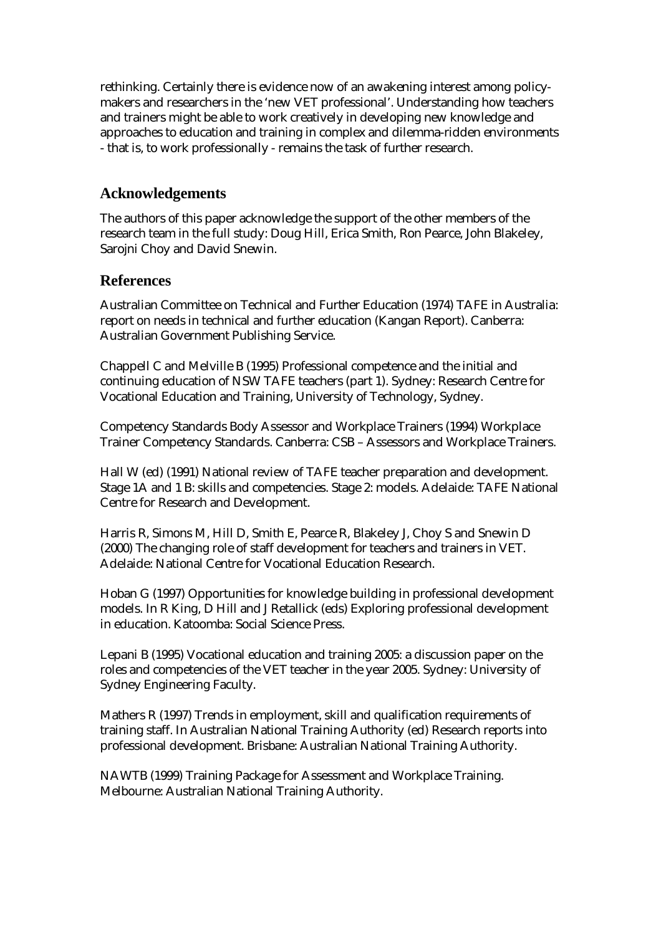rethinking. Certainly there is evidence now of an awakening interest among policymakers and researchers in the 'new VET professional'. Understanding how teachers and trainers might be able to work creatively in developing new knowledge and approaches to education and training in complex and dilemma-ridden environments - that is, to work professionally - remains the task of further research.

## **Acknowledgements**

The authors of this paper acknowledge the support of the other members of the research team in the full study: Doug Hill, Erica Smith, Ron Pearce, John Blakeley, Sarojni Choy and David Snewin.

#### **References**

Australian Committee on Technical and Further Education (1974) TAFE in Australia: report on needs in technical and further education (Kangan Report). Canberra: Australian Government Publishing Service.

Chappell C and Melville B (1995) Professional competence and the initial and continuing education of NSW TAFE teachers (part 1). Sydney: Research Centre for Vocational Education and Training, University of Technology, Sydney.

Competency Standards Body Assessor and Workplace Trainers (1994) Workplace Trainer Competency Standards. Canberra: CSB – Assessors and Workplace Trainers.

Hall W (ed) (1991) National review of TAFE teacher preparation and development. Stage 1A and 1 B: skills and competencies. Stage 2: models. Adelaide: TAFE National Centre for Research and Development.

Harris R, Simons M, Hill D, Smith E, Pearce R, Blakeley J, Choy S and Snewin D (2000) The changing role of staff development for teachers and trainers in VET. Adelaide: National Centre for Vocational Education Research.

Hoban G (1997) Opportunities for knowledge building in professional development models. In R King, D Hill and J Retallick (eds) Exploring professional development in education. Katoomba: Social Science Press.

Lepani B (1995) Vocational education and training 2005: a discussion paper on the roles and competencies of the VET teacher in the year 2005. Sydney: University of Sydney Engineering Faculty.

Mathers R (1997) Trends in employment, skill and qualification requirements of training staff. In Australian National Training Authority (ed) Research reports into professional development. Brisbane: Australian National Training Authority.

NAWTB (1999) Training Package for Assessment and Workplace Training. Melbourne: Australian National Training Authority.